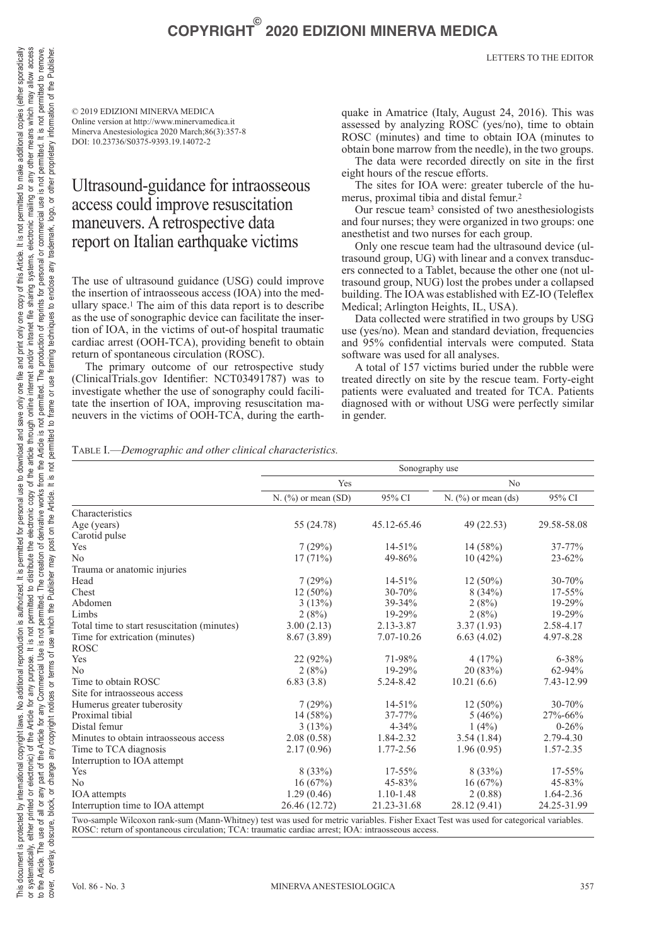# **COPYRIGHT© 2020 EDIZIONI MINERVA MEDICA**

LETTERS TO THE EDITOR

© 2019 EDIZIONI MINERVA MEDICA Online version at http://www.minervamedica.it Minerva Anestesiologica 2020 March;86(3):357-8 DOI: 10.23736/S0375-9393.19.14072-2

## Ultrasound-guidance for intraosseous access could improve resuscitation maneuvers. A retrospective data report on Italian earthquake victims

The use of ultrasound guidance (USG) could improve the insertion of intraosseous access (IOA) into the medullary space.1 The aim of this data report is to describe as the use of sonographic device can facilitate the insertion of IOA, in the victims of out-of hospital traumatic cardiac arrest (OOH-TCA), providing benefit to obtain return of spontaneous circulation (ROSC).

The primary outcome of our retrospective study (ClinicalTrials.gov Identifier: NCT03491787) was to investigate whether the use of sonography could facilitate the insertion of IOA, improving resuscitation maneuvers in the victims of OOH-TCA, during the earthquake in Amatrice (Italy, August 24, 2016). This was assessed by analyzing ROSC (yes/no), time to obtain ROSC (minutes) and time to obtain IOA (minutes to obtain bone marrow from the needle), in the two groups.

The data were recorded directly on site in the first eight hours of the rescue efforts.

The sites for IOA were: greater tubercle of the humerus, proximal tibia and distal femur.2

Our rescue team3 consisted of two anesthesiologists and four nurses; they were organized in two groups: one anesthetist and two nurses for each group.

Only one rescue team had the ultrasound device (ultrasound group, UG) with linear and a convex transducers connected to a Tablet, because the other one (not ultrasound group, NUG) lost the probes under a collapsed building. The IOA was established with EZ-IO (Teleflex Medical; Arlington Heights, IL, USA).

Data collected were stratified in two groups by USG use (yes/no). Mean and standard deviation, frequencies and 95% confidential intervals were computed. Stata software was used for all analyses.

A total of 157 victims buried under the rubble were treated directly on site by the rescue team. Forty-eight patients were evaluated and treated for TCA. Patients diagnosed with or without USG were perfectly similar in gender.

| TABLE I.-Demographic and other clinical characteristics. |  |  |  |  |
|----------------------------------------------------------|--|--|--|--|
|----------------------------------------------------------|--|--|--|--|

|                                             | Sonography use        |               |                       |               |  |  |
|---------------------------------------------|-----------------------|---------------|-----------------------|---------------|--|--|
|                                             | Yes                   |               | N <sub>0</sub>        |               |  |  |
|                                             | $N.$ (%) or mean (SD) | 95% CI        | $N.$ (%) or mean (ds) | 95% CI        |  |  |
| Characteristics                             |                       |               |                       |               |  |  |
| Age (years)                                 | 55 (24.78)            | 45.12-65.46   | 49 (22.53)            | 29.58-58.08   |  |  |
| Carotid pulse                               |                       |               |                       |               |  |  |
| Yes                                         | 7(29%)                | $14 - 51%$    | 14(58%)               | 37-77%        |  |  |
| No                                          | 17(71%)               | 49-86%        | 10(42%)               | $23 - 62%$    |  |  |
| Trauma or anatomic injuries                 |                       |               |                       |               |  |  |
| Head                                        | 7(29%)                | $14 - 51%$    | $12(50\%)$            | 30-70%        |  |  |
| Chest                                       | $12(50\%)$            | 30-70%        | 8(34%)                | 17-55%        |  |  |
| Abdomen                                     | 3(13%)                | 39-34%        | 2(8%)                 | 19-29%        |  |  |
| Limbs                                       | 2(8%)                 | 19-29%        | 2(8%)                 | 19-29%        |  |  |
| Total time to start resuscitation (minutes) | 3.00(2.13)            | 2.13-3.87     | 3.37(1.93)            | 2.58-4.17     |  |  |
| Time for extrication (minutes)              | 8.67 (3.89)           | 7.07-10.26    | 6.63(4.02)            | 4.97-8.28     |  |  |
| <b>ROSC</b>                                 |                       |               |                       |               |  |  |
| Yes                                         | 22(92%)               | 71-98%        | 4(17%)                | $6 - 38%$     |  |  |
| N <sub>0</sub>                              | 2(8%)                 | 19-29%        | 20(83%)               | $62 - 94%$    |  |  |
| Time to obtain ROSC                         | 6.83(3.8)             | 5.24-8.42     | 10.21(6.6)            | 7.43-12.99    |  |  |
| Site for intraosseous access                |                       |               |                       |               |  |  |
| Humerus greater tuberosity                  | 7(29%)                | $14 - 51%$    | $12(50\%)$            | 30-70%        |  |  |
| Proximal tibial                             | 14(58%)               | 37-77%        | 5(46%)                | 27%-66%       |  |  |
| Distal femur                                | 3(13%)                | $4 - 34%$     | $1(4\%)$              | $0 - 26%$     |  |  |
| Minutes to obtain intraosseous access       | 2.08(0.58)            | 1.84-2.32     | 3.54(1.84)            | 2.79-4.30     |  |  |
| Time to TCA diagnosis                       | 2.17(0.96)            | 1.77-2.56     | 1.96(0.95)            | 1.57-2.35     |  |  |
| Interruption to IOA attempt                 |                       |               |                       |               |  |  |
| Yes                                         | 8(33%)                | 17-55%        | 8(33%)                | 17-55%        |  |  |
| N <sub>0</sub>                              | 16(67%)               | 45-83%        | 16(67%)               | 45-83%        |  |  |
| IOA attempts                                | 1.29(0.46)            | $1.10 - 1.48$ | 2(0.88)               | $1.64 - 2.36$ |  |  |
| Interruption time to IOA attempt            | 26.46 (12.72)         | 21.23-31.68   | 28.12 (9.41)          | 24.25-31.99   |  |  |

sample Wilcoxon rank-sum (Mann-Whitney) test was used for metric variables. Fisher Exact Test was used for categorical variables ROSC: return of spontaneous circulation; TCA: traumatic cardiac arrest; IOA: intraosseous access.

 $\overline{a}$